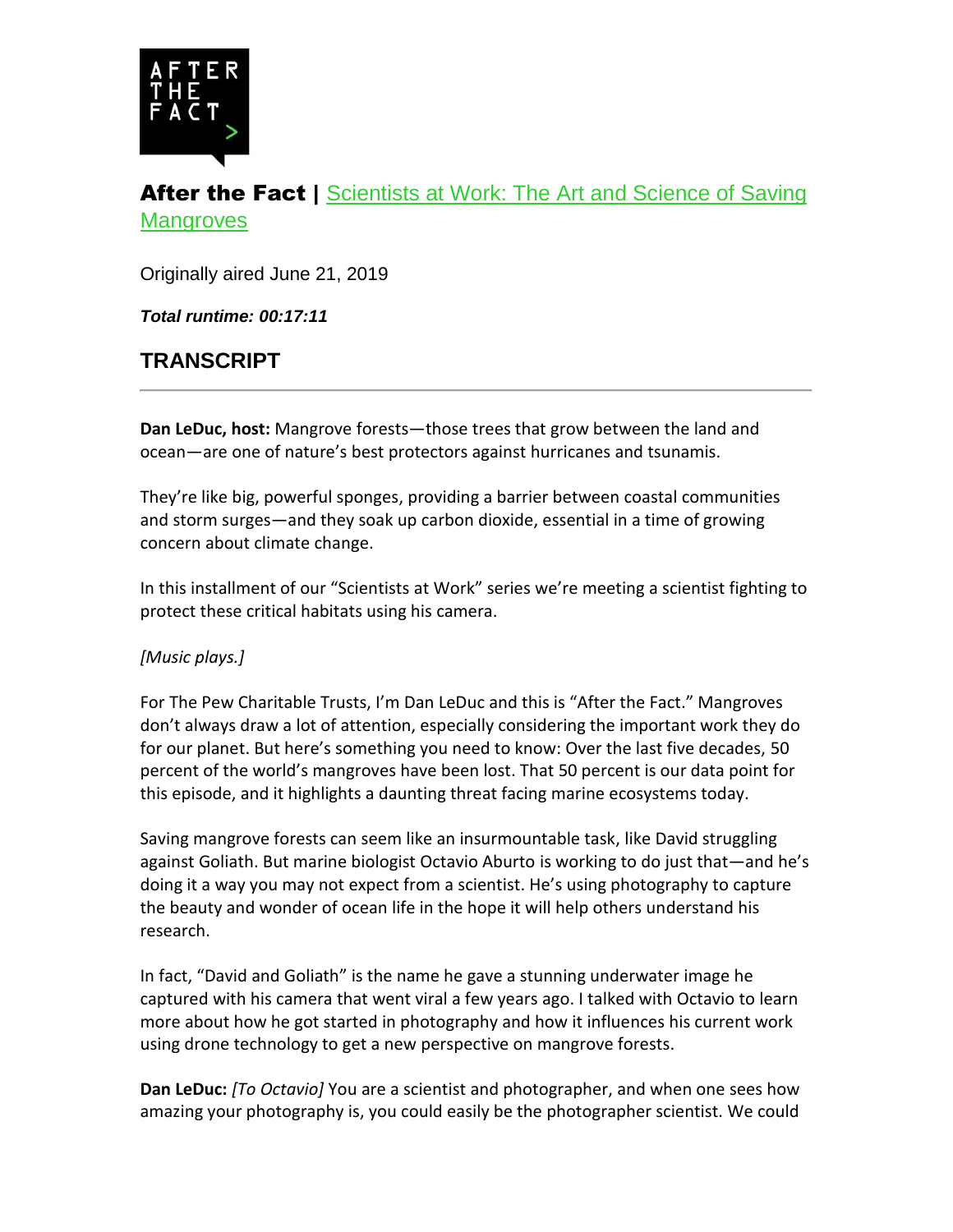

# After the Fact | Scientists at Work: The Art and Science of Saving **[Mangroves](https://www.pewtrusts.org/research-and-analysis/articles/2019/06/21/scientists-at-work-the-art-and-science-of-saving-mangroves)**

Originally aired June 21, 2019

*Total runtime: 00:17:11*

# **TRANSCRIPT**

**Dan LeDuc, host:** Mangrove forests—those trees that grow between the land and ocean—are one of nature's best protectors against hurricanes and tsunamis.

They're like big, powerful sponges, providing a barrier between coastal communities and storm surges—and they soak up carbon dioxide, essential in a time of growing concern about climate change.

In this installment of our "Scientists at Work" series we're meeting a scientist fighting to protect these critical habitats using his camera.

#### *[Music plays.]*

For The Pew Charitable Trusts, I'm Dan LeDuc and this is "After the Fact." Mangroves don't always draw a lot of attention, especially considering the important work they do for our planet. But here's something you need to know: Over the last five decades, 50 percent of the world's mangroves have been lost. That 50 percent is our data point for this episode, and it highlights a daunting threat facing marine ecosystems today.

Saving mangrove forests can seem like an insurmountable task, like David struggling against Goliath. But marine biologist Octavio Aburto is working to do just that—and he's doing it a way you may not expect from a scientist. He's using photography to capture the beauty and wonder of ocean life in the hope it will help others understand his research.

In fact, "David and Goliath" is the name he gave a stunning underwater image he captured with his camera that went viral a few years ago. I talked with Octavio to learn more about how he got started in photography and how it influences his current work using drone technology to get a new perspective on mangrove forests.

**Dan LeDuc:** *[To Octavio]* You are a scientist and photographer, and when one sees how amazing your photography is, you could easily be the photographer scientist. We could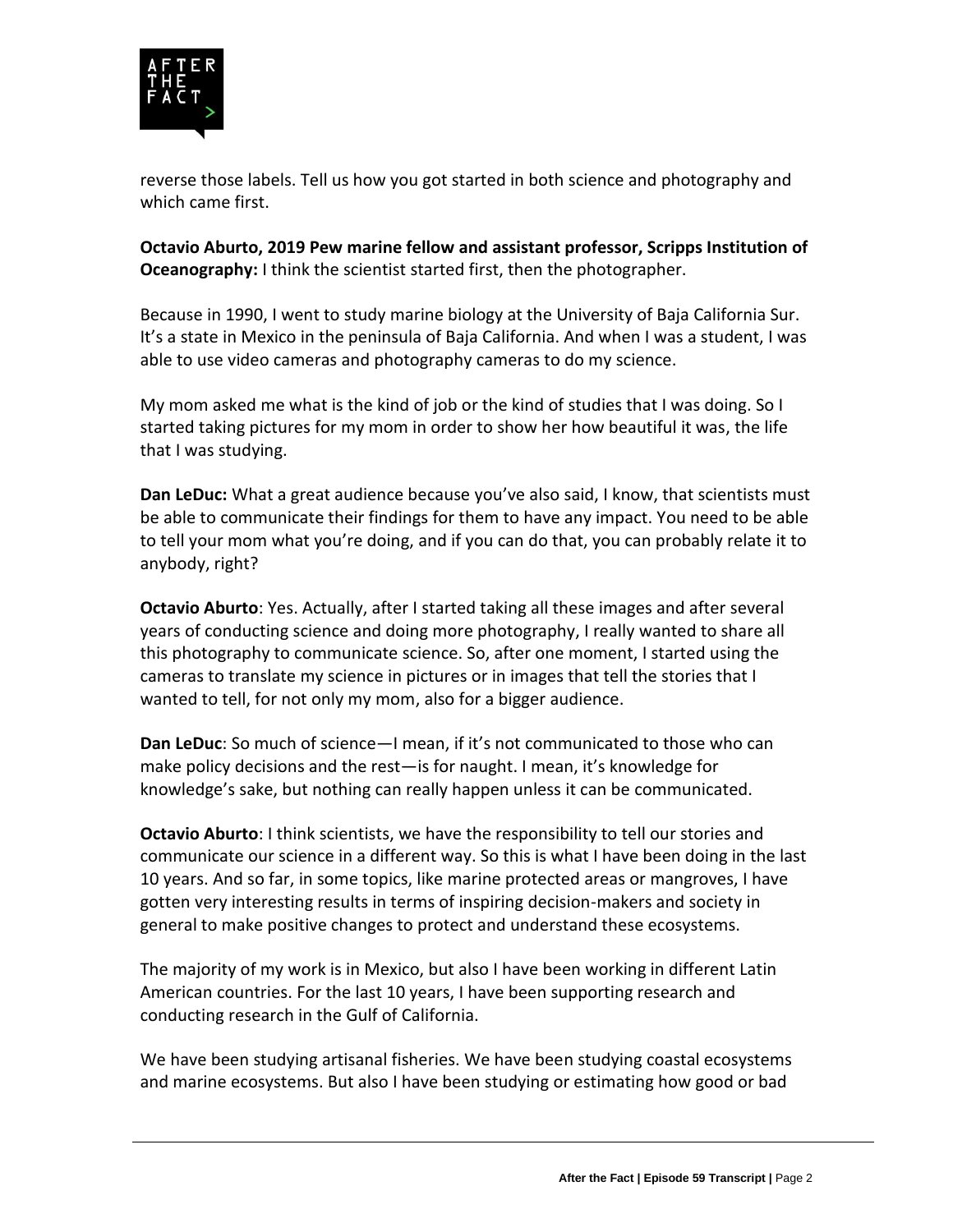

reverse those labels. Tell us how you got started in both science and photography and which came first.

**Octavio Aburto, 2019 Pew marine fellow and assistant professor, Scripps Institution of Oceanography:** I think the scientist started first, then the photographer.

Because in 1990, I went to study marine biology at the University of Baja California Sur. It's a state in Mexico in the peninsula of Baja California. And when I was a student, I was able to use video cameras and photography cameras to do my science.

My mom asked me what is the kind of job or the kind of studies that I was doing. So I started taking pictures for my mom in order to show her how beautiful it was, the life that I was studying.

**Dan LeDuc:** What a great audience because you've also said, I know, that scientists must be able to communicate their findings for them to have any impact. You need to be able to tell your mom what you're doing, and if you can do that, you can probably relate it to anybody, right?

**Octavio Aburto**: Yes. Actually, after I started taking all these images and after several years of conducting science and doing more photography, I really wanted to share all this photography to communicate science. So, after one moment, I started using the cameras to translate my science in pictures or in images that tell the stories that I wanted to tell, for not only my mom, also for a bigger audience.

**Dan LeDuc**: So much of science—I mean, if it's not communicated to those who can make policy decisions and the rest—is for naught. I mean, it's knowledge for knowledge's sake, but nothing can really happen unless it can be communicated.

**Octavio Aburto**: I think scientists, we have the responsibility to tell our stories and communicate our science in a different way. So this is what I have been doing in the last 10 years. And so far, in some topics, like marine protected areas or mangroves, I have gotten very interesting results in terms of inspiring decision-makers and society in general to make positive changes to protect and understand these ecosystems.

The majority of my work is in Mexico, but also I have been working in different Latin American countries. For the last 10 years, I have been supporting research and conducting research in the Gulf of California.

We have been studying artisanal fisheries. We have been studying coastal ecosystems and marine ecosystems. But also I have been studying or estimating how good or bad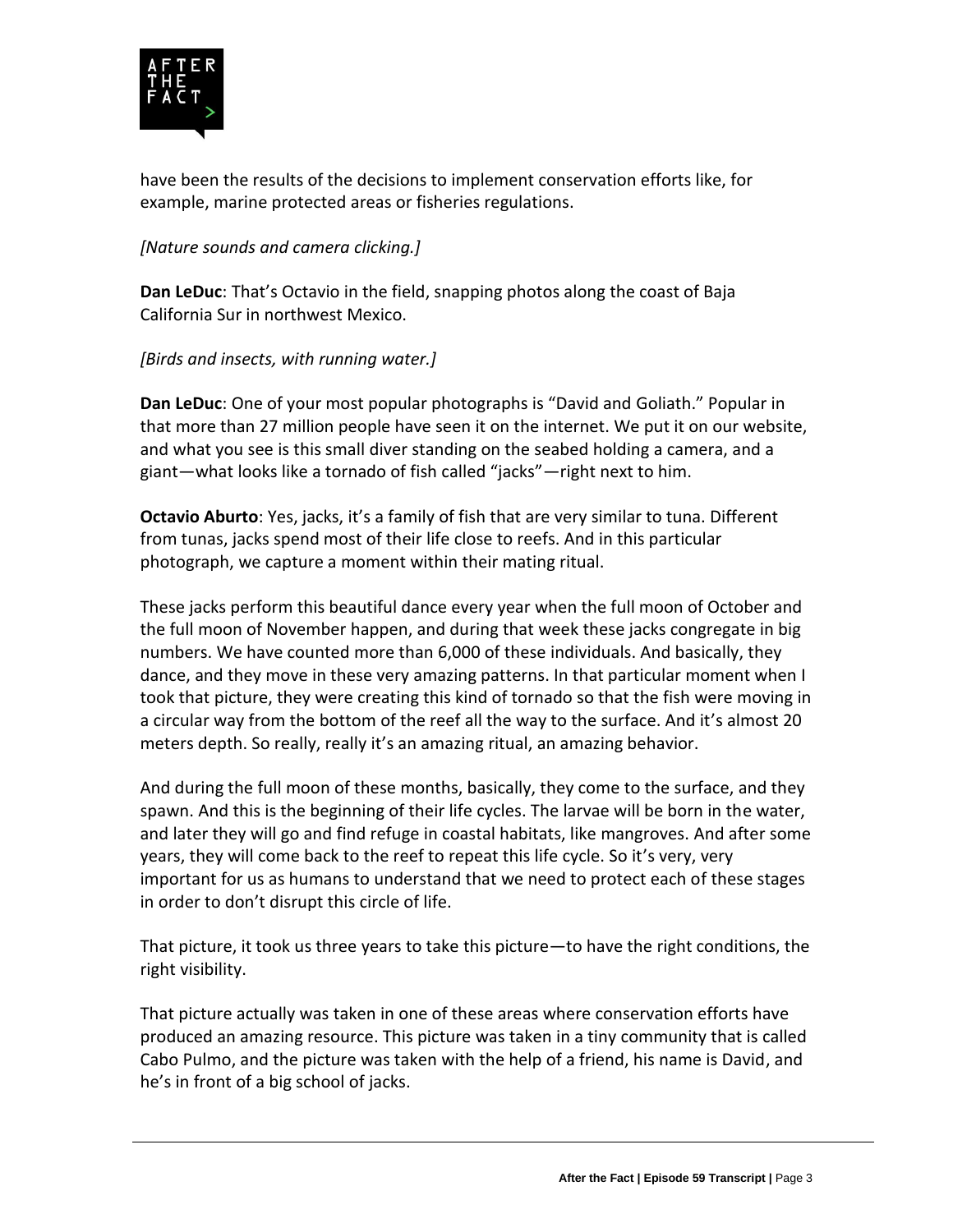

have been the results of the decisions to implement conservation efforts like, for example, marine protected areas or fisheries regulations.

*[Nature sounds and camera clicking.]*

**Dan LeDuc**: That's Octavio in the field, snapping photos along the coast of Baja California Sur in northwest Mexico.

*[Birds and insects, with running water.]*

**Dan LeDuc**: One of your most popular photographs is "David and Goliath." Popular in that more than 27 million people have seen it on the internet. We put it on our website, and what you see is this small diver standing on the seabed holding a camera, and a giant—what looks like a tornado of fish called "jacks"—right next to him.

**Octavio Aburto**: Yes, jacks, it's a family of fish that are very similar to tuna. Different from tunas, jacks spend most of their life close to reefs. And in this particular photograph, we capture a moment within their mating ritual.

These jacks perform this beautiful dance every year when the full moon of October and the full moon of November happen, and during that week these jacks congregate in big numbers. We have counted more than 6,000 of these individuals. And basically, they dance, and they move in these very amazing patterns. In that particular moment when I took that picture, they were creating this kind of tornado so that the fish were moving in a circular way from the bottom of the reef all the way to the surface. And it's almost 20 meters depth. So really, really it's an amazing ritual, an amazing behavior.

And during the full moon of these months, basically, they come to the surface, and they spawn. And this is the beginning of their life cycles. The larvae will be born in the water, and later they will go and find refuge in coastal habitats, like mangroves. And after some years, they will come back to the reef to repeat this life cycle. So it's very, very important for us as humans to understand that we need to protect each of these stages in order to don't disrupt this circle of life.

That picture, it took us three years to take this picture—to have the right conditions, the right visibility.

That picture actually was taken in one of these areas where conservation efforts have produced an amazing resource. This picture was taken in a tiny community that is called Cabo Pulmo, and the picture was taken with the help of a friend, his name is David, and he's in front of a big school of jacks.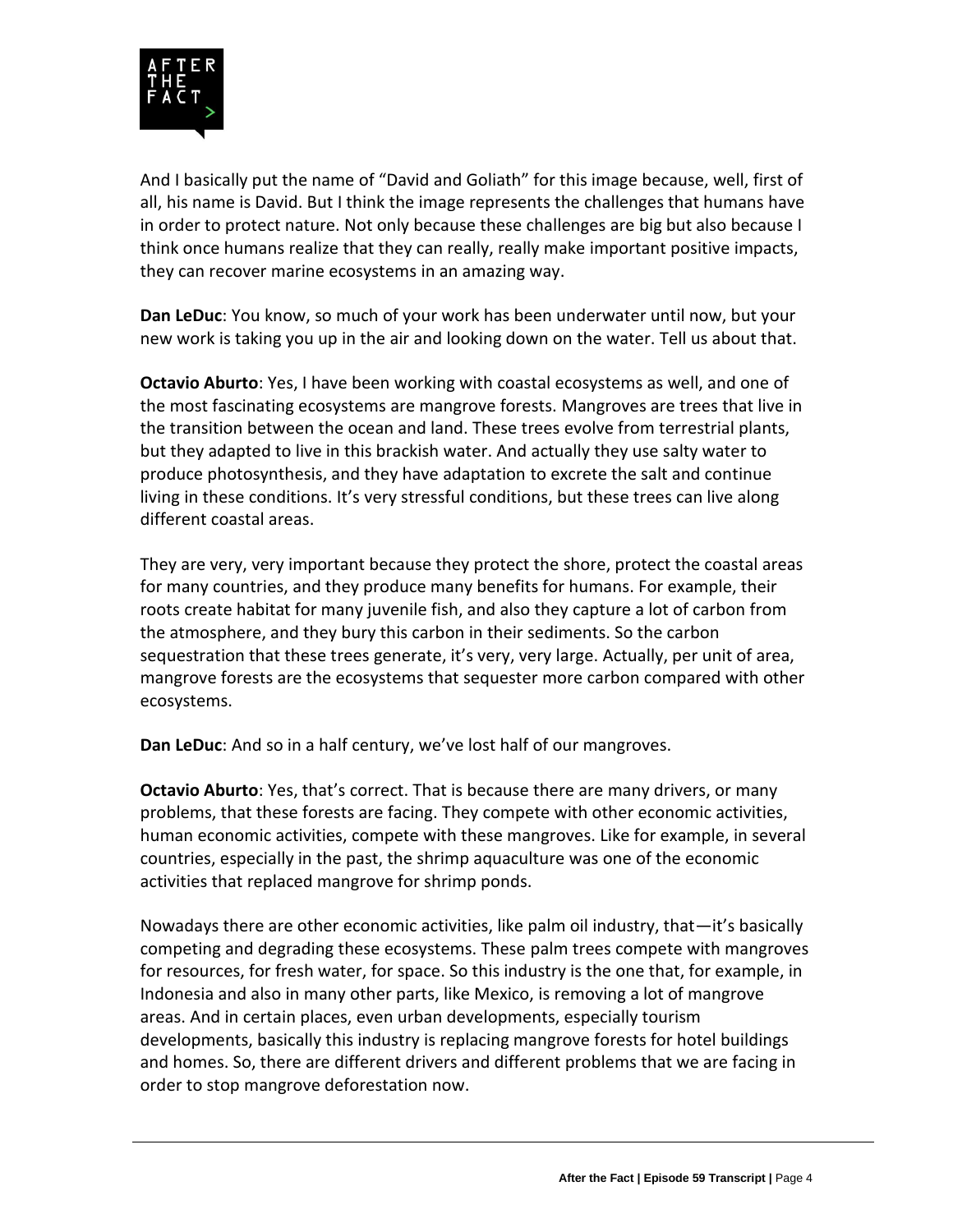

And I basically put the name of "David and Goliath" for this image because, well, first of all, his name is David. But I think the image represents the challenges that humans have in order to protect nature. Not only because these challenges are big but also because I think once humans realize that they can really, really make important positive impacts, they can recover marine ecosystems in an amazing way.

**Dan LeDuc**: You know, so much of your work has been underwater until now, but your new work is taking you up in the air and looking down on the water. Tell us about that.

**Octavio Aburto**: Yes, I have been working with coastal ecosystems as well, and one of the most fascinating ecosystems are mangrove forests. Mangroves are trees that live in the transition between the ocean and land. These trees evolve from terrestrial plants, but they adapted to live in this brackish water. And actually they use salty water to produce photosynthesis, and they have adaptation to excrete the salt and continue living in these conditions. It's very stressful conditions, but these trees can live along different coastal areas.

They are very, very important because they protect the shore, protect the coastal areas for many countries, and they produce many benefits for humans. For example, their roots create habitat for many juvenile fish, and also they capture a lot of carbon from the atmosphere, and they bury this carbon in their sediments. So the carbon sequestration that these trees generate, it's very, very large. Actually, per unit of area, mangrove forests are the ecosystems that sequester more carbon compared with other ecosystems.

**Dan LeDuc**: And so in a half century, we've lost half of our mangroves.

**Octavio Aburto**: Yes, that's correct. That is because there are many drivers, or many problems, that these forests are facing. They compete with other economic activities, human economic activities, compete with these mangroves. Like for example, in several countries, especially in the past, the shrimp aquaculture was one of the economic activities that replaced mangrove for shrimp ponds.

Nowadays there are other economic activities, like palm oil industry, that—it's basically competing and degrading these ecosystems. These palm trees compete with mangroves for resources, for fresh water, for space. So this industry is the one that, for example, in Indonesia and also in many other parts, like Mexico, is removing a lot of mangrove areas. And in certain places, even urban developments, especially tourism developments, basically this industry is replacing mangrove forests for hotel buildings and homes. So, there are different drivers and different problems that we are facing in order to stop mangrove deforestation now.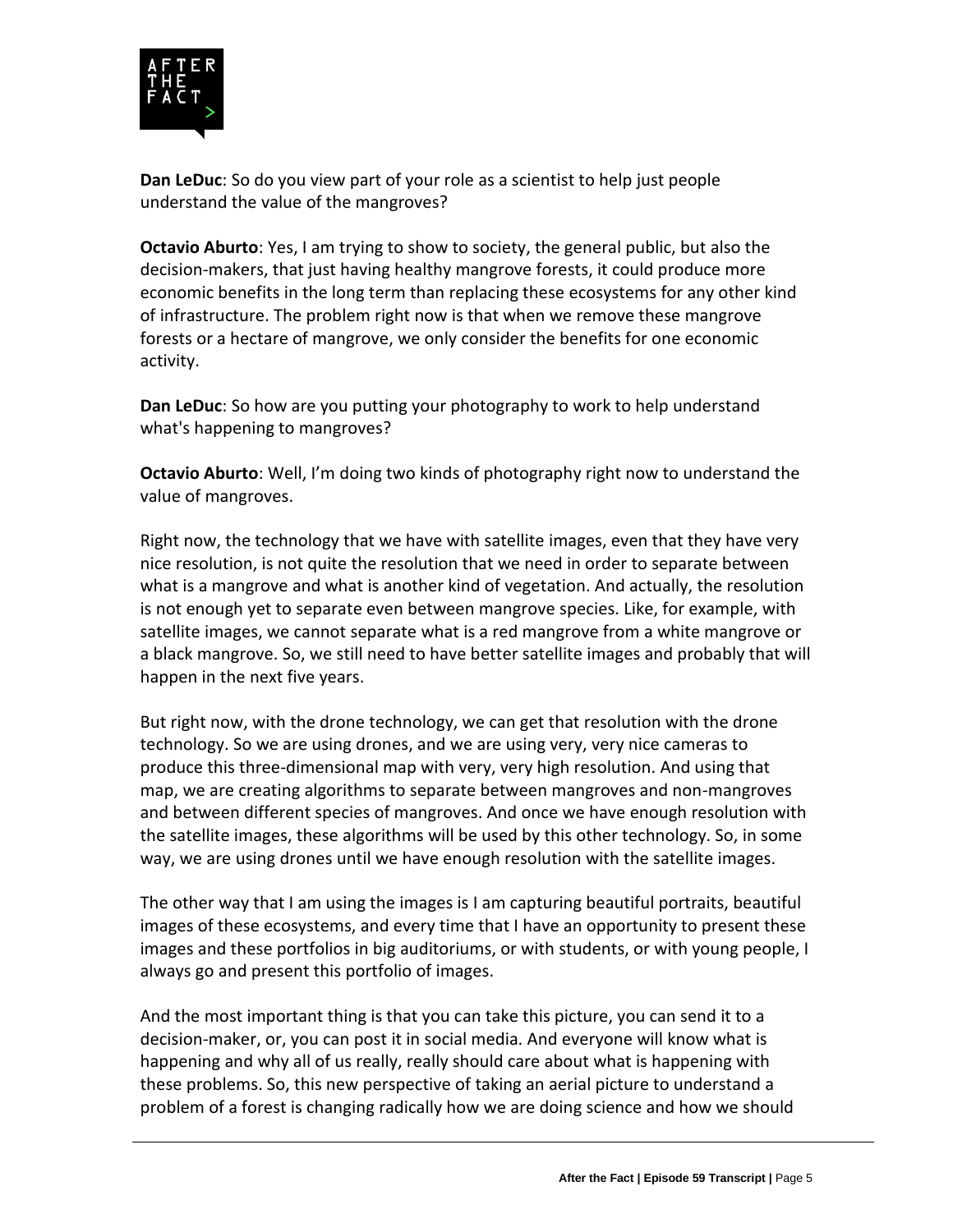

**Dan LeDuc**: So do you view part of your role as a scientist to help just people understand the value of the mangroves?

**Octavio Aburto**: Yes, I am trying to show to society, the general public, but also the decision-makers, that just having healthy mangrove forests, it could produce more economic benefits in the long term than replacing these ecosystems for any other kind of infrastructure. The problem right now is that when we remove these mangrove forests or a hectare of mangrove, we only consider the benefits for one economic activity.

**Dan LeDuc**: So how are you putting your photography to work to help understand what's happening to mangroves?

**Octavio Aburto**: Well, I'm doing two kinds of photography right now to understand the value of mangroves.

Right now, the technology that we have with satellite images, even that they have very nice resolution, is not quite the resolution that we need in order to separate between what is a mangrove and what is another kind of vegetation. And actually, the resolution is not enough yet to separate even between mangrove species. Like, for example, with satellite images, we cannot separate what is a red mangrove from a white mangrove or a black mangrove. So, we still need to have better satellite images and probably that will happen in the next five years.

But right now, with the drone technology, we can get that resolution with the drone technology. So we are using drones, and we are using very, very nice cameras to produce this three-dimensional map with very, very high resolution. And using that map, we are creating algorithms to separate between mangroves and non-mangroves and between different species of mangroves. And once we have enough resolution with the satellite images, these algorithms will be used by this other technology. So, in some way, we are using drones until we have enough resolution with the satellite images.

The other way that I am using the images is I am capturing beautiful portraits, beautiful images of these ecosystems, and every time that I have an opportunity to present these images and these portfolios in big auditoriums, or with students, or with young people, I always go and present this portfolio of images.

And the most important thing is that you can take this picture, you can send it to a decision-maker, or, you can post it in social media. And everyone will know what is happening and why all of us really, really should care about what is happening with these problems. So, this new perspective of taking an aerial picture to understand a problem of a forest is changing radically how we are doing science and how we should